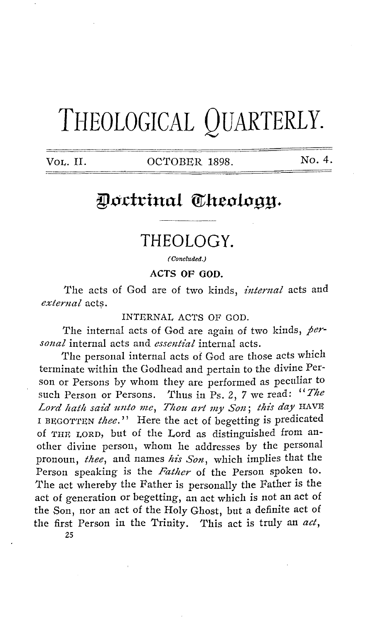# **THEOLOGICAL QUARTERLY.**

VOL. II. OCTOBER 1898. No. 4.

# Doctrinal Theology.

# **THEOLOGY.**

(Concluded.)

**ACTS OF GOD.** 

The acts of God are of two kinds, *internal* acts and *external* acts.

INTERNAL ACTS OF GOD.

The internal acts of God are again of two kinds, *personal* internal acts and *essential* internal acts.

The personal internal acts of God are those acts which terminate within the Godhead and pertain to the divine Person or Persons by whom they are performed as peculiar to such Person or Persons. Thus in Ps. 2, 7 we read: "The Lord hath said unto me, Thou art my Son; this day HAVE I BEGOTTEN thee." Here the act of begetting is predicated of THE LORD, but of the Lord as distinguished from another divine person, whom he addresses by the personal pronoun, *thee,* and names *his Son,* which implies that the Person speaking is the *Father* of the Person spoken to. The act whereby the Father is personally the Father is the act of generation or begetting, an act which is not an act of the Son, nor an act of the Holy Ghost, but a definite act of the first Person in the Trinity. This act is truly an *act,*  25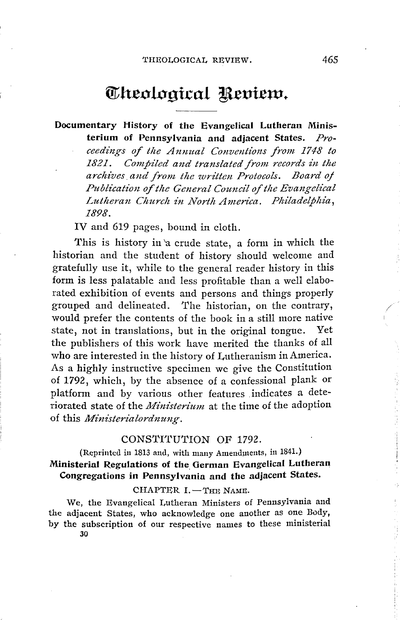# Theological Review.

### **Documentary History of the Evangelical Lutheran Ministerium of Pennsylvania and adjacent States.** *Proceedings of the Annual Conventions from 1748 to 1821. Compiled and translated from records in the archives. and front the written Protocols. Board oj Publication of the General Council of the Evangelical* Lutheran Church in North America. Philadelphia, *1898.*

IV and 619 pages, bound in cloth.

This is history in 'a crude state, a form in which the historian and the student of history should welcome and gratefully use it, while to the general reader history in this form is less palatable and less profitable than a well elaborated exhibition of events and persons and things properly grouped and delineated. The historian, on the contrary, would prefer the contents of the book in a still more native state, not in translations, but in the original tongue. Yet the publishers of this work have merited the thanks of all who are interested in the history of Lutheranism in America. As a highly instructive specimen we give the Constitution of **1792,** which, by the absence of a confessional plank or platform and by various other features indicates a deteriorated state of the *Ministerium* at the time of the adoption of this *Minz'sterialordnung.* 

#### CONSTITUTION OF 1792.

### (Reprinted in 1813 and, with many Amendments, in 1841.) **Ministerial Regulations of the German Evangelical Lutheran Congregations in Pennsylvania and the adjacent States.**

#### $CHAPTER I. - True Name.$

We, the Evangelical Lutheran Ministers of Pennsylvania and the adjacent States, who acknowledge one another as one Body, by the subscription of our respective names to these ministerial 30

/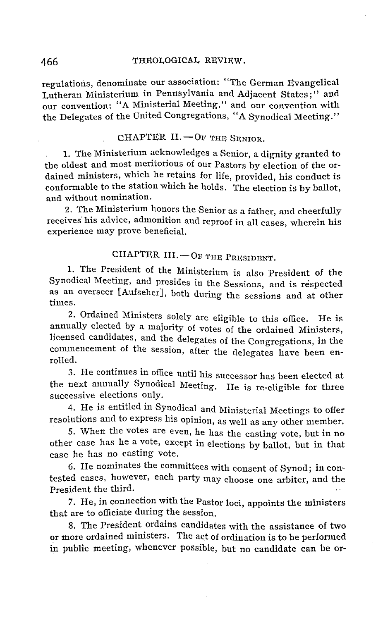#### 466 THEOLOGICAL REVIEW.

regulations, denominate our association: "The German Evangelical Lutheran Ministerium in Pennsylvania and Adjacent States;" and our convention: "A Ministerial Meeting," and our convention with the Delegates of the United Congregations, "A Synodical Meeting."

#### $CHAPTER II. - OF THE SEND.$

1. The Ministerium acknowledges a Senior, a dignity granted to the oldest and most meritorious of our Pastors by election of the ordained ministers, which he retains for life, provided, his conduct is conformable to the station which he holds. The election is by ballot, and without nomination.

2. The Ministerium honors the Senior as a father, and cheerfully receives' his advice, admonition and reproof in all cases, wherein his experience may prove beneficial.

### CHAPTER III.  $-$  OF THE PRESIDENT.

1. The President of the Ministerium is also President of the Synodical Meeting, and presides in the Sessions, and is respected as an overseer [Aufseher], both during the sessions and at other times.

2. Ordained Ministers solely are eligible to this office. He is annually elected by a majority of votes of the ordained Ministers, licensed candidates, and the delegates of the Congregations, in the commencement of the session, after the delegates have been enrolled.

3. He continues in office until his successor has been elected at the next annually Synodical Meeting. He is re-eligible for three successive elections only.

4. He is entitled in Synodical and Ministerial Meetings to offer resolutions and to express his opinion, as well as any other member.

5. When the votes are even, he has the casting vote, but in no other case has he a vote, except in elections by ballot, but in that case he has no casting vote.

6. He nominates the committees with consent of Synod; in contested cases, however, each party may choose one arbiter, and the President the third.

7. He, in connection with the Pastor loci, appoints the ministers that are to officiate during the session.

8. The President ordains candidates with the assistance of two or more ordained ministers. The act of ordination is to be performed in public meeting, whenever possible, but no candidate can be or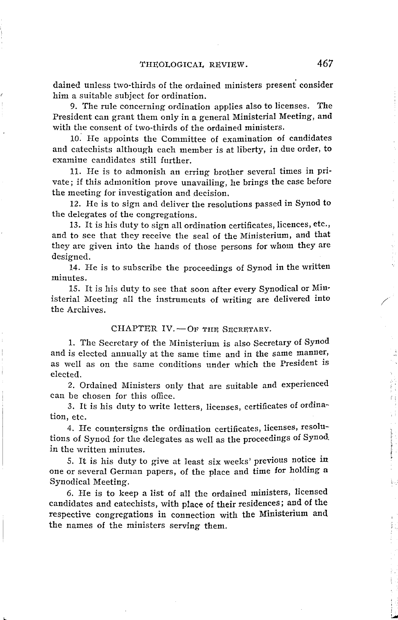dained unless two-thirds of the ordained ministers present' consider him a suitable subject for ordination.

9. The rule concerning ordination applies also to licenses. The President can grant them only in a general Ministerial Meeting, and with the consent of two-thirds of the ordained ministers.

10: He appoints the Committee of examination of candidates and catechists although each member is at liberty, in due order, to examine candidates still further.

11. He is to admonish an erring brother several times in private; if this admonition prove unavailing, he brings the case before the meeting for investigation and decision.

12. He is to sign and deliver the resolutions passed in Synod to the delegates of the congregations.

13. It is his duty to sign all ordination certificates, licences, etc., and to see that they receive the seal of the Ministerimn, and that they are given into the hands of those persons for whom they are designed.

14. He is to subscribe the proceedings of Synod in the written minutes.

15. It is his duty to see that soon after every Synodical or Ministerial Meeting all the instruments of writing are delivered into the Archives.

#### CHAPTER IV. - OF THE SECRETARY.

1. The Secretary of the Ministerium is also Secretary of Synod and is elected annually at the same time and in the same manner, as well as on the same conditions under which the President is elected.

2. Ordained Ministers only that are suitable and experienced can be chosen for this office.

3. It is his duty to write letters, licenses, certificates of ordination, etc.

4. He countersigns the ordination certificates, licenses, resolutions of Synod for the delegates as well as the proceedings of Synod. in the written minutes.

5. It is his duty to give at least six weeks' previous notice in one or several German papers, of the place and time for holding a Synodical Meeting.

6. He is to keep a list of all the ordained ministers, licensed candidates and catechists, with place of their residences; and of the respective congregations in connection with the Ministerium and the names of the ministers serving them.

/

**The Secretary Secretary** 

!..lo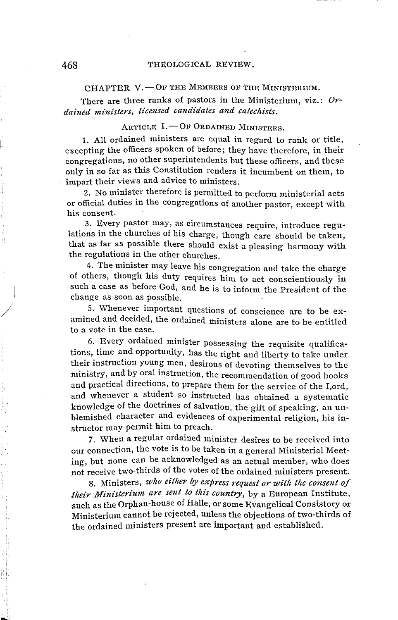CHAPTER V.  $-$ OF THE MEMBERS OF THE MINISTERIUM.

There are three ranks of pastors in the Ministerium, viz.: *Ordained ministers, licensed candidates and catechists.* 

#### $A$ RTICLE  $I. -$ OF ORDAINED MINISTERS.

1. All ordained ministers are equal in regard to rank or title, excepting the officers spoken of before; they have therefore, in their congregations, no other superintendents but these officers, and these only in so far as this Constitution renders it incumbent on them, to impart their views and advice to ministers.

2. No minister therefore is permitted to perform ministerial acts or official duties in the congregations of another pastor, except with his consent.

3. Every pastor may, as circumstances require, introduce regulations in the churches of his charge, though care should be taken, that as far as possible there should exist a pleasing harmony with the regulations in the other churches.

4. The minister may leave his congregation and take the charge of others, though his duty requires him to act conscientiously in such a case as before God, and he is to inform the President of the change as soon as possible.

5. Whenever important questions of conscience are to be examined and decided, the ordained ministers alone are to be entitled to a vote in the case.

6. Every ordained minister possessing the requisite qualifications, time and opportunity, has the right and liberty to take under their instruction young men, desirous of devoting themselves to the ministry, and by oral instruction, the recommendation of good books and practical directions, to prepare them for the service of the I,ord, and whenever a student so instructed has obtained a systematic knowledge of the doctrines of salvation, the gift of speaking, an unblemished character and evidences of experimental religion, his instructor may permit him to preach.

7. When a regular ordained minister desires to be received into our connection, the vote is to be taken in a general Ministerial Meeting, but none can be acknowledged as an actual member, who does not receive two-thirds of the votes of the ordained ministers present.

8. Ministers, *who either by express request or with tlie consent of their Ministerium are sent to this country,* by a European Institute, such as the Orphan-house of Halle, or some Evangelical Consistory or Ministerium cannot be rejected, unless the objections of two-thirds of the ordained ministers present are important and established.

 $\vert$ 

/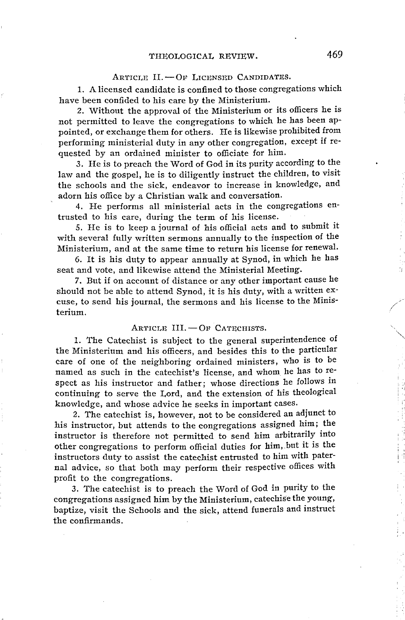#### $Arntcik$  II.  $-$  Of Licensed Candidates.

1. A licensed candidate is confined to those congregations which have been confided to his care by the Ministerium.

2. Without the approval of the Ministerium or its officers he is not permitted to leave the congregations to which he has been appointed, or exchange them for others. He is likewise prohibited from performing ministerial duty in any other congregation, except if requested by an ordained minister to officiate for him.

3. He is to preach the Word of God in its purity according to the law and the gospel, he is to diligently instruct the children, to visit the schools and the sick, endeavor to increase in knowledge, and adorn his office by a Christian walk and conversation.

4. He performs all ministerial acts in the congregations entrusted to his care, during the term of his license.

5. He is to keep a journal of his official acts and to submit it with several fully written sermons annually to the inspection of the Ministerium, and at the same time to return his license for renewal.

6. It is his duty to appear annually at Synod, in which he has seat and vote, and likewise attend the Ministerial Meeting.

7. But if on account of distance or any other important cause he should not be able to attend Synod, it is his duty, with a written excuse, to send his journal, the sermons and his license to the Ministerium.

#### ARTICLE III. - OF CATECHISTS.

1. The Catechist is subject to the general superintendence of the Ministerium and his officers, and besides this to the particular care of one of the neighboring ordained ministers, who is to be named as such in the catechist's license, and whom he has to respect as his instructor and father; whose directions he follows in continuing to serve the Lord, and the extension of his theological knowledge, and whose advice he seeks in important cases.

2. The catechist is, however, not to be considered an adjunct to his instructor, but attends to the congregations assigned him; the instructor is therefore not permitted to send him arbitrarily into other congregations to perform official duties for him, .but it is the instructors duty to assist the catechist entrusted to him with paternal advice, so that both may perform their respective offices with profit to the congregations.

3. The catechist is to preach the Word of God in purity to the congregations assigned him by the Ministerium, catechise the young, baptize, visit the Schools and the sick, attend funerals and instruct the confirmands.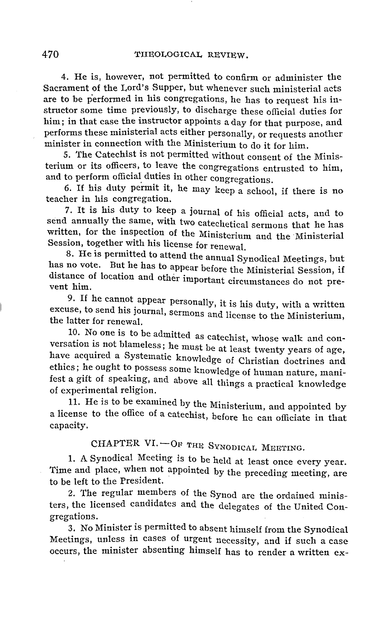4. He is, however, not permitted to confirm or administer the Sacrament of the Lord's Supper, but whenever such ministerial acts are to be performed in his congregations, he has to request his instructor some time previously, to discharge these official duties for him; in that case the instructor appoints a day for that purpose, and performs these ministerial acts either personally, or requests another minister in connection with the Ministerium to do it for him.

s. The Catechist is not permitted without consent of the Ministerium or its officers, to leave the congregations entrusted to him, and to perform official duties in other congregations.

6. If his duty permit it, he may keep a school, if there is no teacher in his congregation.

7. It is his duty to keep a journal of his official acts, and to send annually the same, with two catechetical sermons that he has written, for the inspection of the Ministerium and the Ministerial Session, together with his license for renewal.

8. He is permitted to attend the annual Synodical Meetings, but has no vote. But he has to appear before the Ministerial Session, if distance of location and other important circumstances do not prevent him.

9. If he cannot appear personally, it is his duty, with a written excuse, to send his journal, sermons and license to the Ministerium, the latter for renewal.

10. No one is to be admitted as catechist, whose walk and conversation is not blameless; he must be at least twenty years of age, have acquired a Systematic knowledge of Christian doctrines and ethics; he ought to possess some knowledge of human nature, manifest a gift of speaking, and above all things a practical knowledge of experimental religion.

11. He is to be examined by the Ministerium, and appointed by a license to the office of a catechist, before he can officiate in that capacity.

CHAPTER VI.-OF THE SYNODICAL MEETING.

1. A Synodical Meeting is to be held at least once every year. Time and place, when not appointed by the preceding meeting, are to be left to the President.

2. The regular members of the Synod are the ordained ministers, the licensed candidates and the delegates of the United Congregations.

3. No Minister is permitted to absent himself from the Synodical Meetings, unless in cases of urgent necessity, and if such a case occurs, the minister absenting himself has to render a written ex-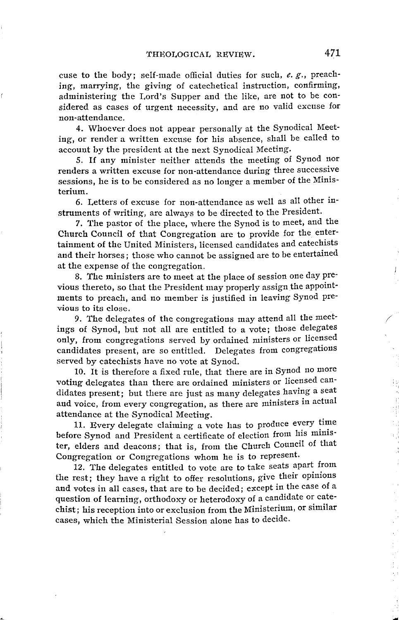cuse to the body; self-made official duties for such, *e. g.,* preaching, marrying, the giving of catechetical instruction, confirming, administering the Lord's Supper and the like, are not to be considered as cases of urgent necessity, and are no valid excuse for non-attendance.

4. Whoever does not appear personally at the Synodical Meeting, or render a written excuse for his absence, shall be called to account by the president at the next Synodical Meeting.

5. If any minister neither attends the meeting of Synod nor renders a written excuse for non-attendance during three successive sessions, he is to be considered as no longer a member of the Ministerium.

6. Letters of excuse for non-attendance as well as all other instruments of writing, are always to be directed to the President.

7. The pastor of the place, where the Synod is to meet, and the Church Council of that Congregation are to provide for the entertainment of the United Ministers, licensed candidates and catechists and their horses; those who cannot be assigned are to be entertained at the expense of the congregation.

8. The ministers are to meet at the place of session one day previous thereto, so that the President may properly assign the appointments to preach, and no member is justified in leaving Synod previous to its close.

9. The delegates of the congregations may attend all the meetings of Synod, but not all are entitled to a vote; those delegates only, from congregations served by ordained ministers or licensed candidates present, are so entitled. Delegates from congregations served by catechists have no vote at Synod.

10. It is therefore a fixed rule, that there are in Synod no more voting delegates than there are ordained ministers or licensed candidates present; but there are just as many delegates having a seat and voice, from every congregation, as there are ministers in actual attendance at the Synodical Meeting.

11. Every delegate claiming a vote has to produce every time before Synod and President a certificate of election from his minister, elders and deacons; that is, from the Church Council of that Congregation or Congregations whom he is to represent.

12. The delegates entitled to vote are to take seats apart from the rest; they have a right to offer resolutions, give their opinions and votes in all cases, that are to be decided; except in the case of a question of learning, orthodoxy or heterodoxy of a candidate or catechist; his reception into or exclusion from the Ministerium, or similar cases, which the Ministerial Session alone has to decide.

/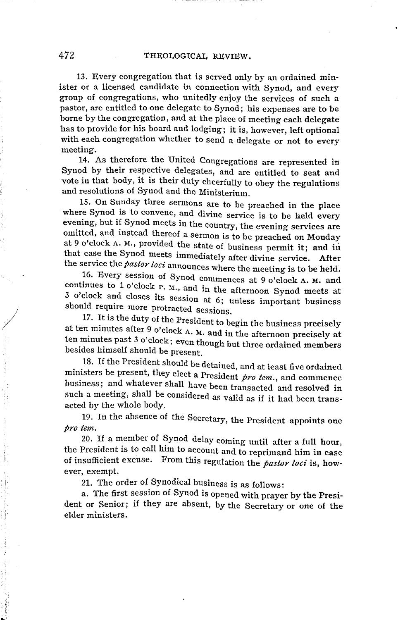13. Every congregation that is served only by an ordained minister or a licensed candidate in connection with Synod, and every group of congregations, who unitedly enjoy the services of such a pastor, are entitled to one delegate to Synod; his expenses are to be borne by the congregation, and at the place of meeting each delegate has to provide for his board and lodging; it is, however, left optional with each congregation whether to send a delegate or not to every meeting.

14. As therefore the United Congregations are represented in Synod by their respective delegates, and are entitled to seat and vote in that body, it is their duty cheerfully to obey the regulations and resolutions of Synod and the Ministerium.

15. On Sunday three sermons are to be preached in the place where Synod is to convene, and divine service is to be held every evening, but if Synod meets in the country, the evening services are omitted, and instead thereof a sermon is to be preached on Monday at 9 o'clock A. M., provided the state of business permit it; and in that case the Synod meets immediately after divine service. **After**  the service the *pastor loci* announces where the meeting is to be held.

16. Every session of Synod commences at 9 o'clock A. M. and continues to 1 o'clock P. M., and in the afternoon Synod meets at 3 o'clock and closes its session at 6; unless important business should require more protracted sessions.

17. It is the duty of the President to begin the business precisely at ten minutes after 9 o'clock A. M. and in the afternoon precisely at ten minutes past 3 o'clock; even though but three ordained members besides himself should be present.

18. If the President should be detained, and at least five ordained ministers be present, they elect a President *pro tem.,* and commence business; and whatever shall have been transacted and resolved in such a meeting, shall be considered as valid as if it had been transacted by the whole body.

19. In the absence of the Secretary, the President appoints one *pro tem.* 

20. If a member of Synod delay coming until after a full hour, the President is to call him to account and to reprimand him in case of insufficient excuse. From this regulation the *pastor loci* is, however, exempt.

21. The order of Synodical business is as follows:

a. The first session of Synod is opened with prayer by the President or Senior; if they are absent, by the Secretary or one of the elder ministers.

*I*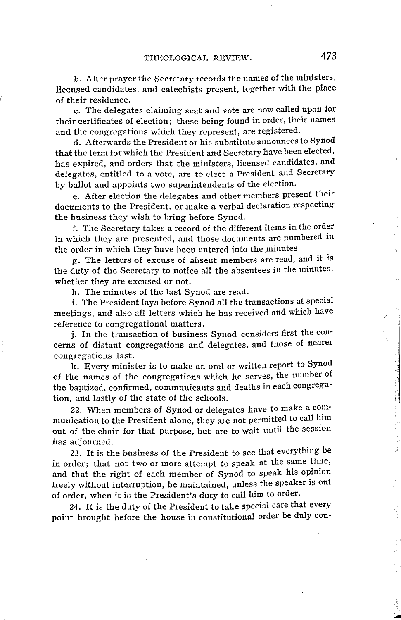b. After prayer the Secretary records the names of the ministers, licensed candidates, and catechists present, together with the place of their residence.

c. The delegates claiming seat and vote are now called upon for their certificates of election; these being found in order, their names and the congregations which they represent, are registered.

d. Afterwards the President or his substitute announces to Synod that the term for which the President and Secretary have been elected, has expired, and orders that the ministers, licensed candidates, and delegates, entitled to a vote, are to elect a President and Secretary by ballot and appoints two superintendents of the election.

e. After election the delegates and other members present their documents to the President, or make a verbal declaration respecting the business they wish to bring before Synod.

f. The Secretary takes a record of the different items in the order in which they are presented, and those documents are numbered in the order in which they have been entered into the minutes.

g. The letters of excuse of absent members are read, and it is the duty of the Secretary to notice all the absentees in the minutes, whether they are excused or not.

h. The minutes of the last Synod are read.

i. The President lays before Synod all the transactions at special meetings, and also all letters which he has received and which have reference to congregational matters.

**j. In** the transaction of business Synod considers first the con· cerns of distant congregations and delegates, and those of nearer congregations last.

k. Every minister is to make an oral or written report to Synod of the names of the congregations which he serves, the number of the baptized, confirmed, communicants and deaths in each congregation, and lastly of the state of the schools.

22. When members of Synod or delegates have to make a communication to the President alone, they are not permitted to call him out of the chair for that purpose, but are to wait until the session has adjourned.

23. It is the business of the President to see that everything be in order; that not two or more attempt to speak at the same time, and that the right of each member of Synod to speak his opinion freely without interruption, be maintained, unless the speaker is out of order, when it is the President's duty to call him to order.

24. It is the duty of the President to take special care that every point brought before the house in constitutional order be duly con· /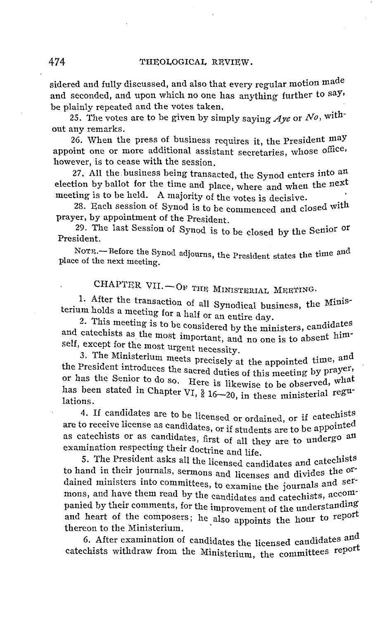sidered and fully discussed, and also that every regular motion made and seconded, and upon which no one has anything further to say. be plainly repeated and the votes taken.

25. The votes are to be given by simply saying  $Aye$  or  $No$ , without any remarks.

26. When the press of business requires it, the President maY appoint one or more additional assistant secretaries, whose office, however, is to cease with the session.

27. All the business being transacted, the Synod enters into an election by ballot for the time and place, where and when the next meeting is to be held. A majority of the votes is decisive.

28. Each session of Synod is to be commenced and closed with prayer, by appointment of the President.

29. The last Session of Synod is to be closed by the Senior or President.

Norn.--Before the Synod adjourns, the President states the time and place of the next meeting.

CHAPTER VII. - OF THE MINISTERIAL MEETING.

1. After the transaction of all Synodical business, the Ministerium holds a meeting for a half or an entire day.

2. This meeting is to be considered by the ministers, candidates and catechists as the most important, and no one is to absent himself, except for the most urgent necessity.

3. The Ministerium meets precisely at the appointed time, and the President introduces the sacred duties of this meeting by prayer, or has the Senior to do so. Here is likewise to be observed, what has been stated in Chapter VI,  $\frac{9}{6}$  16-20, in these ministerial regulations.

4. If candidates are to be licensed or ordained, or if catechists are to receive license as candidates, or if students are to be appointed as catechists or as candidates, first of all they are to undergo an examination respecting their doctrine and life. .

5. The President asks all the licensed candidates and catechists to hand in their journals, sermons and licenses and divides the ordained ministers into committees, to examine the journals and sermons, and have them read by the candidates and catechists, accompanied by their comments, for the improvement of the understanding and heart of the composers; he also appoints the hour to repol thereon to the Ministerium.  $\mathbf{d} \cdot \mathbf{d}$ 

6. After examination of candidates the licensed candidates and catechists withdraw from the Ministerium, the committees report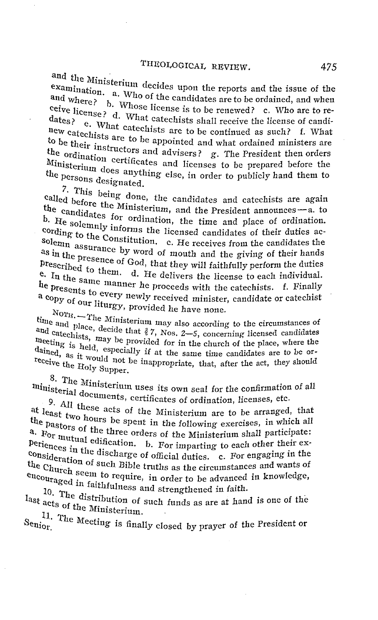and the Ministerium decides upon the reports and the issue of the examination. a. Who of the candidates are to be ordained, and when and where? b. Whose license is to be renewed? c. Who are to re-<br>dates? d. What catechists shall receive the license of candidates? d. What catechists shall receive the license of candi-<br>dates? e. What catechists shall receive the license of candi-<br>new est. new catechists are to be continued as such? f. What to be their instance to be appointed and what ordained ministers are to be their instructors and advisers? g. The President then orders<br>the ordination certificates and licenses to be prepared before the Ministerium does anything else, in order to publicly hand them to<br>the persons designated.<br>7. This being done, the candidates and catechists are again

called before the Ministerium, and the President announces - a. to the candidates for ordination, the time and place of ordination. b. He solemnly informs the licensed candidates of their duties ac-<br>cording to the Constitution, c. He receives from the candidates the<br>solemn assurance by word of mouth and the giving of their hands solemn  $\frac{1}{2}$  costs constitution. c. He receives from the candidates the as in the presence of God, that they will faithfully perform the duties prescribed to them. d. He delivers the license to each individual.<br>
e. In the same manner he proceeds with the catechists. f. Finally<br>
a constant to every newly received minister, candidate or catechist e. In the same manner he proceeds with the catechists. f. Finally  $h_{n,n+1}$ 

a copy of our liturgy, provided he have none.<br>
Norm, --The Ministerium may also according to the circumstances of<br>
and catechists, decide that  $\frac{2}{7}$ , Nos. 2-5, concerning licensed candidates<br>
meeting . . . . . . . . . time and place, decide that  $\zeta$  7, Nos. 2–5, concerning licensed candidates<br>and catechists, may be provided for in the church of the place, where the<br>meeting is both. NOTH. The Ministerium may also according to the circumstances of dained, as it would not be inappropriate, that, after the act, they should receive the Holy Supper.

receive the Holy Supper.<br>8. The Ministerium uses its own seal for the confirmation of all<br>ministerium uses its own seal for the confirmation of all

ministerial documents, certificates of ordination, licenses, etc.<br>9. All these acts of the Ministerium are to be arranged, that<br>the past two hours be spent in the following exercises, in which all<br>the past two hours be spe 9. All these acts of the Ministerium are to be arranged, that the pastors of the three orders of the Ministerium shall participate:<br>a. For mutual edification. b. For imparting to each other their ex-<br>periodic e. . . . The imparting to each other their ex-Periences in the discharge of official duties. c. For engaging in the consideration exconsideration of such Bible truths as the circumstances and wants of<br>the Church seem to require, in order to be advanced in knowledge,<br>encouraged in faithfulness and strengthened in faith. the Church seem to require, in order to be advanced in knowledge,<br>encouraged in faithfulness and strengthened in faith.<br>last acts of the Municipality

10. The distribution of such funds as are at hand is one of the

 $S_{\rm enior}$ <sup>11.</sup> The Meeting is finally closed by prayer of the President or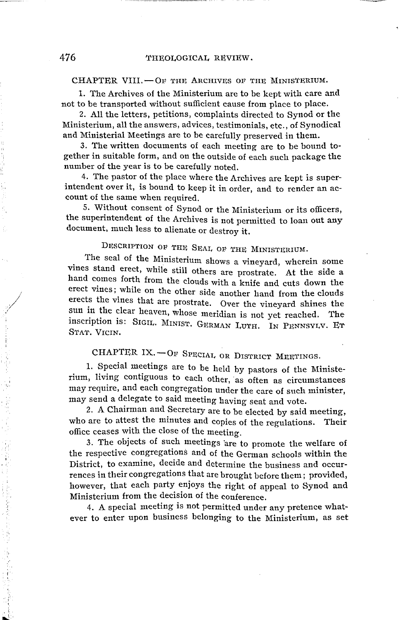#### $CHAPTER$  VIII. $-$ OF THE ARCHIVES OF THE MINISTERIUM.

1. The Archives of the Ministerium are to be kept with care and not to be transported without sufficient cause from place to place.

2. All the letters, petitions, complaints directed to Synod or the Ministerium, all the answers, advices, testimonials, etc., of Synodical and Ministerial Meetings are to be carefully preserved in them.

3. The written documents of each meeting are to be bound together in suitable form, and on the outside of each such package the number of the year is to be carefully noted.

4. The pastor of the place where the Archives are kept is superintendent over it, is bound to keep it in order, and to render an account of the same when required.

5. Without consent of Synod or the Ministerium or its officers, the superintendent of the Archives is not permitted to loan out any document, much less to alienate or destroy it.

# DESCRIPTION OF THE SEAL OF THE MINISTERIUM.

. The seal of the Ministerium shows a vineyard, wherein some vines stand erect, while still others are prostrate. At the side a hand comes forth from the clouds with a knife and cuts down the erect vines; while on the other side another hand from the clouds erects the vines that are prostrate. Over the vineyard shines the sun in the clear heaven, whose meridian is not yet reached. The inscription is: SIGIL. MINIST. GERMAN LUTH. IN PENNSYLV. ET STAT. VICIN.

CHAPTER IX. - OF SPECIAL, OR DISTRICT MEETINGS.

1. Special meetings are to be held by pastors of the Ministerium, living contiguous to each other, as often as circumstances may require, and each congregation under the care of such minister, may send a delegate to said meeting having seat and vote.

2. A Chairman and Secretary are to be elected by said meeting, who are to attest the minutes and copies of the regulations. Their office ceases with the close of the meeting.

3. The objects of such meetings 'are to promote the welfare of the respective congregations and of the German schools within the District, to examine, decide and determine the business and occurrences in their congregations that are brought before them; provided, however, that each party enjoys the right of appeal to Synod and Ministerium from the decision of the conference.

4. A special meeting is not permitted under any pretence whatever to enter upon business belonging to the Ministerium, as set

/ /

 $\cdot$   $\cdot$ 

'i I'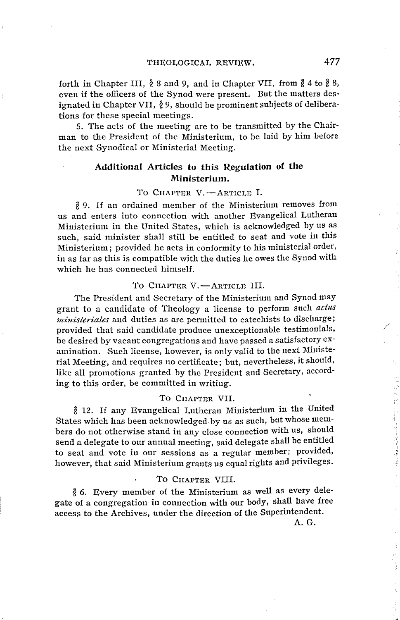forth in Chapter III,  $\frac{3}{2}$  8 and 9, and in Chapter VII, from  $\frac{3}{2}$  4 to  $\frac{3}{2}$  8, even if the officers of the Synod were present. But the matters designated in Chapter VII,  $\frac{3}{2}$  9, should be prominent subjects of deliberations for these special meetings.

5. The acts of the meeting are to be transmitted by the Chairman to the President of the Ministerium, to be laid by him before the next Synodical or Ministerial Meeting.

#### **Additional Articles to this Regulation of the Ministerium.**

TO CHAPTER V. - ARTICLE I.

1l 9. If an ordained member of the Ministerium removes from us and enters into connection with another Evangelical Lutheran Ministerium in the United States, which is acknowledged by us as such, said minister shall still be entitled to seat and vote in this Ministerium; provided he acts in conformity to his ministerial order, in as far as this is compatible with the duties he owes the Synod with which he has connected himself.

#### TO CHAPTER V.-ARTICLE III.

The President and Secretary of the Ministerium and Synod may grant to a candidate of Theology a license to perform such *actus ministen'ales* and duties as are permitted to catechists to discharge; provided that said candidate produce unexceptionable testimonials, be desired by vacant congregations and have passed a satisfactory examination. Such license, however, is only valid to the next Ministerial Meeting, and requires no certificate; but, nevertheless, it should, like all promotions granted by the President and Secretary, according to this order, be committed in writing.

#### TO CHAPTER VII.

1l 12. If any Evangelical Lutheran Ministerium in the United States which has been acknowledged, by us as such, but whose members do not otherwise stand in any close connection with us, should send a delegate to our annual meeting, said delegate shall be entitled to seat and vote in our sessions as a regular member; provided, however, that said Ministerium grants us equal rights and privileges.

#### TO CHAPTER VIII.

 $8$  6. Every member of the Ministerium as well as every delegate of a congregation in connection with our body, shall have free access to the Archives, under the direction of the Superintendent.

A.G.

/

医分解的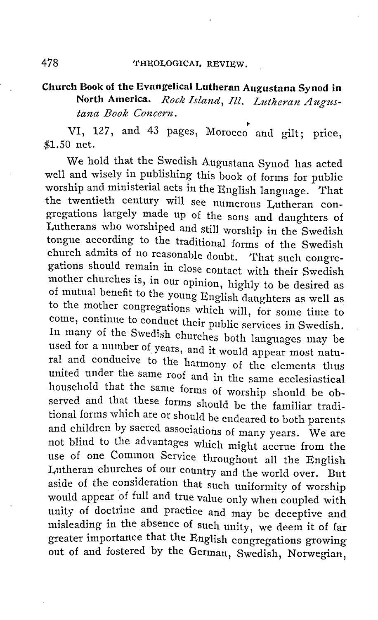## **Church Book of the Evangelical Lutheran Augustana Synod in North America.** *Rock Island, Ill. Lutheran Augustana Book Concern.*

• VI, 127, and 43 pages, Morocco and gilt; price, \$1.50 net.

We hold that the Swedish Augustana Synod has acted well and wisely in publishing this book of forms for public worship and ministerial acts in the English language. That the twentieth century will see numerous Lutheran congregations largely made up of the sons and daughters of Lutherans who worshiped and still worship in the Swedish tongue according to the traditional forms of the Swedish church admits of no reasonable doubt. That such congregations should remain in close contact with their Swedish mother churches is, in our opinion, highly to be desired as of mutual benefit to the young English daughters as well as to the mother congregations which will, for some time to come, continue to conduct their public services in Swedish. In many of the Swedish churches both languages may be used for a number of years, and it would appear most natural and conducive to the harmony of the elements thus united under the same roof and in the same ecclesiastical household that the same forms of worship should be observed and that these forms should be the familiar traditional forms which are or should be endeared to both parents and children by sacred associations of many years. We are not blind to the advantages which might accrue from the use of one Common Service throughout all the English Lutheran churches of our country and the world over. But aside of the consideration that such uniformity of worship would appear of full and true value only when coupled with unity of doctrine and practice and may be deceptive and misleading in the absence of such unity, we deem it of far greater importance that the English congregations growing out of and fostered by the German, Swedish, Norwegian,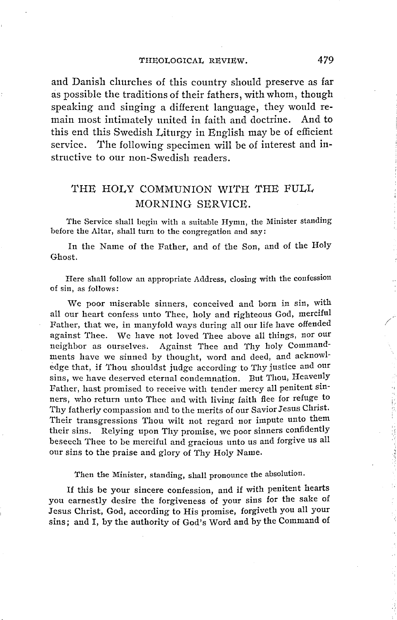and Danish churches of this country should preserve as far as possible the traditions of their fathers, with whom, though speaking and singing a different language, they would remain most intimately united in faith and doctrine. And to this end this Swedish Liturgy in English may be of efficient service. The following specimen will be of interest and instructive to our non-Swedish readers.

## 'fHE HOLY COMMUNION WITH 'fHE FULL MORNING SERVICE.

'fhe Service shall begin with a suitable Hymn, the Minister standing before the Altar, shall turn to the congregation and say:

In the Name of the Father, and of the Son, and of the Holy Ghost.

Here shall follow an appropriate Address, closing with the confession of sin, as follows:

We poor miserable sinners, conceived and born in sin, with all our heart confess unto Thee, holy and righteous God, merciful Father, that we, in manyfold ways during all our life have offended against Thee. We have not loved Thee above all things, nor our neighbor as ourselves. Against Thee and Thy holy Commandments have we sinned by thought, word and deed, and acknowledge that, if Thou shouldst judge according to Thy justice and our sins, we have deserved eternal condemnation. But Thou, Heavenly Father, hast promised to receive with tender mercy all penitent sinners, who return unto Thee and with living faith flee for refuge to Thy fatherly compassion and to the merits of our Savior Jesus Christ. Their transgressions Thou wilt not regard nor impute unto them their sins. Relying upon Thy promise, we poor sinners confidently beseech Thee to be merciful and gracious unto us and forgive us all our sins to the praise and glory of Thy Holy Name.

Then the Minister, standing, shall pronounce the absolution.

If this be your sincere confession, and if with penitent hearts you earnestly desire the forgiveness of your sins for the sake of Jesus Christ, God, according to His promise, forgiveth you all your sins; and I, by the authority of God's Word and by the Command of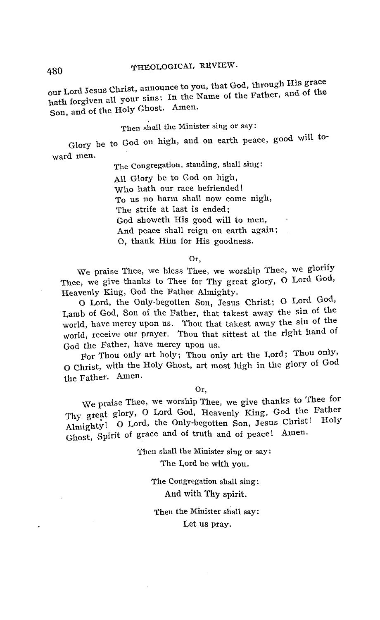# 480 THEOLOGICAL REVIEW.

our Lord Jesus Christ, announce to you, that God, through His grace hath forgiven all your sins: In the Name of the Father, and of the Son, and of the Holy Ghost. Amen.

#### Then shall the Minister sing or say:

Glory be to God on high, and on earth peace, good will to· ward men.

The Congregation, standing, shall sing:

All Glory be to God on high, Who hath our race befriended! To us no harm shall now come nigh, The strife at last is ended; God showeth His good will to men, And peace shall reign on earth again; 0, thank Him for His goodness.

Or,

We praise Thee, we bless Thee, we worship Thee, we glorify Thee, we give thanks to Thee for Thy great glory, O Lord God, Heavenly King, God the Father Almighty.

0 Lord, the Only-begotten Son, Jesus Christ; O Lord God, Lamb of God, Son of the Father, that takest away the sin of the world, have mercy upon us. Thou that takest away the sin of the world, receive our prayer. Thou that sittest at the right hand of God the Father, have mercy upon us.

For Thou only art holy; Thou only art the Lord; Thou only, O Christ, with the Holy Ghost, art most high in the glory of God the Father. Amen.

Or,

We praise Thee, we worship Thee, we give thanks to Thee for Thy great glory, O Lord God, Heavenly King, God the Father Almighty! O Lord, the Only-begotten Son, Jesus Christ! Ghost, Spirit of grace and of truth and of peace! Amen.

> Then shall the Minister sing or say: The Lord be with you.

> > The Congregation shall sing: And with Thy spirit.

Then the Minister shall say: Let us pray.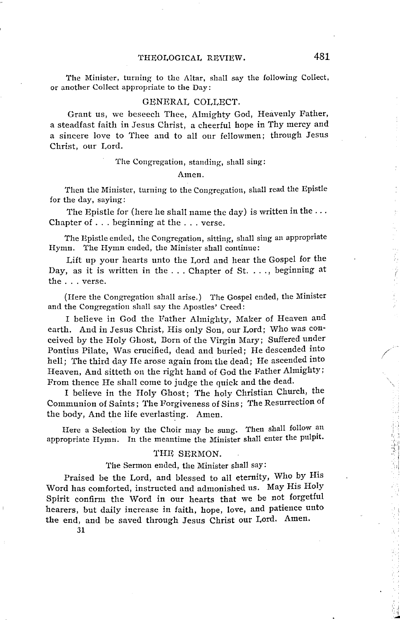#### THEOLOGICAL REVIEW. 481

The Minister, turning to the Altar, shall say the following Collect, or another Collect appropriate to the Day:

#### GENERAL COLLECT.

Grant us, we beseech Thee, Almighty God, Heavenly Father, a steadfast faith in Jesus Christ, a cheerful hope in Thy mercy and a sincere love to Thee and to all our fellowmen; through Jesus Christ, our Lord.

The Congregation, standing, shall sing:

#### Amen.

Then the Minister, turning to the Congregation, shall read the Epistle for the day, saying:

The Epistle for (here he shall name the day) is written in the ... Chapter of ... beginning at the ... verse.

The Epistle ended, the Congregation, sitting, shall sing an appropriate Hymn. The Hymn ended, the Minister shall continue:

Lift up your hearts unto the Lord and hear the Gospel for the Day, as it is written in the  $\dots$  Chapter of St. ..., beginning at the ... verse.

(Here the Congregation shall arise.) The Gospel ended, the Minister and the Congregation shall say the Apostles' Creed:

I believe in God the Father Almighty, Maker of Heaven and earth. And in Jesus Christ, His only Son, our Lord; Who was conceived by the Holy Ghost, Dorn of the Virgin Mary; Suffered under Pontius Pilate, Was crucified, dead and buried; He descended into hell; The third day He arose again from the dead; He ascended into Heaven, And sitteth on the right hand of God the Father Almighty; From thence He shall come to judge the quick and the dead.

I believe in the Holy Ghost; The holy Christian Church, the Communion of Saints; The Forgiveness of Sins; The Resurrection of the body, And the life everlasting. Amen.

Here a Selection by the Choir may be sung. Then shall follow an appropriate Hymn. In the meantime the Minister shall enter the pulpit.

#### THE SERMON.

The Sermon ended, the Minister shall say:

Praised be the Lord, and blessed to all eternity, Who by His Word has comforted, instructed and admonished us. May His Holy Spirit confirm the Word in our hearts that we be not forgetful hearers, but daily increase in faith, hope, love, and patience unto the end, and be saved through Jesus Christ our Lord. Amen.

31

/

, ,I ,;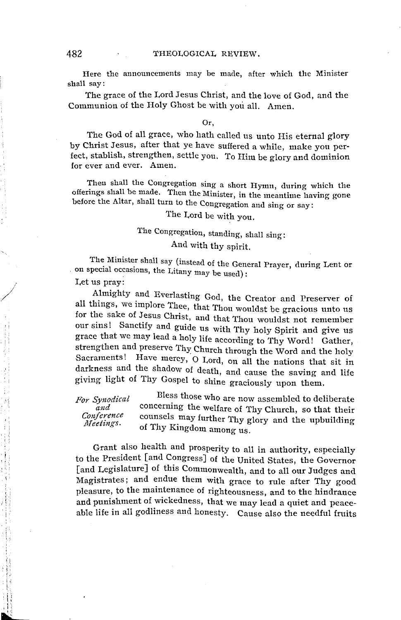Here the announcements may be made, after which the Minister shall say:

The grace of the Lord Jesus Christ, and the love of God, and the Communion of the Holy Ghost be with you all. Amen.

#### Or,

The God of all grace, who hath called us unto His eternal glory by Christ Jesus, after that ye have suffered a while, make you perfect, stablish, strengthen, settle you. To Him be glory and dominion for ever and ever. Amen.

Then shall the Congregation sing a short Hymn, during which the offerings shall be made. Then the Minister, in the meantime having gone before the Altar, shall turn to the Congregation and sing or say:

# The Lord be with you.

# The Congregation, standing, shall sing: And with thy spirit.

The Minister shall say (instead of the General Prayer, during Lent or on special occasions, the Litany may be used):

Let us pray:

i'

' '  $^{\circ}$   $^{\circ}$ 

> j  $\mathbb{S}^n$

Almighty and Everlasting God, the Creator and Preserver of all things, we implore Thee, that Thou wouldst be gracious unto us for the sake of Jesus Christ, and that Thou wouldst not remember our sins! Sanctify and guide us with Thy holy Spirit and give us grace that we may lead a holy life according to Thy Word! Gather, strengthen and preserve Thy Church through the Word and the holy Sacraments! Have mercy, 0 Lord, on all the nations that sit in darkness and the shadow of death, and cause the saving and life giving light of Thy Gospel to shine graciously upon them.

*For Synodical and Conference J}Ieelings.*  Bless those who are now assembled to deliberate concerning the welfare of Thy Church, so that their counsels may further Thy glory and the upbuilding of Thy Kingdom among us.

Grant also health and prosperity to all in authority, especially to the President [and Congress] of the United States, the Governor [and Legislature] of this Commonwealth, and to all our Judges and Magistrates; and endue them with grace to rule after Thy good pleasure, to the maintenance of righteousness, and to the hindrance and punishment of wickedness, that we may lead a quiet and peaceable life in all godliness and honesty. Cause also the needful fruits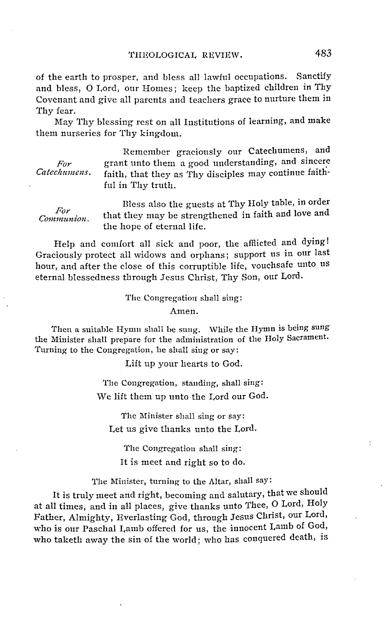of the earth to prosper, and bless all lawful occupations. Sanctify and bless, 0 Lord, our Homes; keep the baptized children in Thy Covenant and give all parents and teachers grace to nurture them in Thy fear.

May Thy blessing rest on all Institutions of learning, and make them nurseries for Thy kingdom.

*For*  Catechumens.

Remember graciously our Catechumens, and grant unto them a good understanding, and sincere faith, that they as Thy disciples may continue faithful in Thy truth.

*For Communion.*  Bless also the guests at Thy Holy table, in order that they may be strengthened in faith and love and the hope of eternal life.

Help and comfort all sick and poor, the affiicted and dying! Graciously protect all widows and orphans; support us in our last hour, and after the close of this corruptible life, vouchsafe unto us eternal blessedness through Jesus Christ, Thy Son, our Lord.

The Congregation shall sing:

Amen.

Then a suitable Hymn shall be sung. While the Hymn is being sung the Minister shall prepare for the administration of the Holy Sacrament. Turning to the Congregation, he shall sing or say:

Lift up your hearts to God.

'fhe Congregation, standing, shall sing: We lift them up unto the Lord our God.

The Minister shall sing or say: Let us give thanks unto the Lord.

The Congregation shall sing: It is meet and right so to do.

The Minister, turning to the Altar, shall say:

It is truly meet and right, becoming and salutary, that we should at all times, and in all places, give thanks unto Thee, 0 Lord, Holy Father, Almighty, Everlasting God, through Jesus Christ, our Lord, who is our Paschal Lamb offered for us, the innocent Lamb of God, who taketh away the sin of the world; who has conquered death, is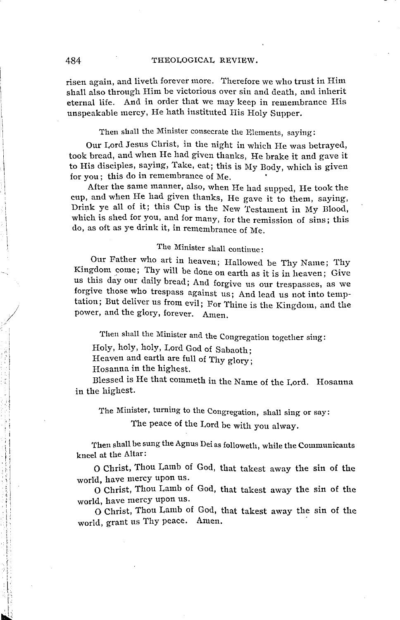#### 484 THEOLOGICAL REVIEW.

risen again, and liveth forever more. Therefore we who trust in Him shall also through Him be victorious over sin and death, and inherit eternal life. And in order that we may keep in remembrance His unspeakable mercy, He hath instituted His Holy Supper.

Then shall the Minister consecrate the Elements, saying:

Our Lord Jesus Christ, in the night in which He was betrayed, took bread, and when He had given thanks, He brake it and gave it to His disciples, saying, Take, eat; this is My Body, which is given for you; this do in remembrance of Me.

After the same manner, also, when He had supped, He took the cup, and when He had given thanks, He gave it to them, saying, Drink ye all of it; this Cup is the New Testament in My Blood, which is shed for you, and for many, for the remission of sins; this do, as oft as ye drink it, in remembrance of Me.

### The Minister shall continue:

Our Father who art in heaven; Hallowed be Thy Name; Thy Kingdom come; Thy will be done on earth as it is in heaven; Give us this day our daily bread; And forgive us our trespasses, as we forgive those who trespass against us; And lead us not into temptation; But deliver us from evil; For Thine is the Kingdom, and the power, and the glory, forever. Amen.

'fhen shall the Minister and the Congregation together sing:

Holy, holy, holy, Lord God of Sabaoth;

Heaven and earth are full of Thy glory;

Hosanna in the highest.

Blessed is He that commeth in the Name of the Lord. Hosanna in the highest.

The Minister, turning to the Congregation, shall sing or say:

The peace of the Lord be with you alway.

Then shall be sung the Agnus Dei as followeth, while the Communicants kneel at the Altar:

o Christ, Thou Lamb of God, that takest away the sin of the world, have mercy upon us.

o Christ, Thou Lamb of God, that takest away the sin of the

O Christ, Thou Lamb of God, that takest away the sin of the world, grant us Thy peace. Amen.

*I* 

医心脏 建氯化合物 医血管反射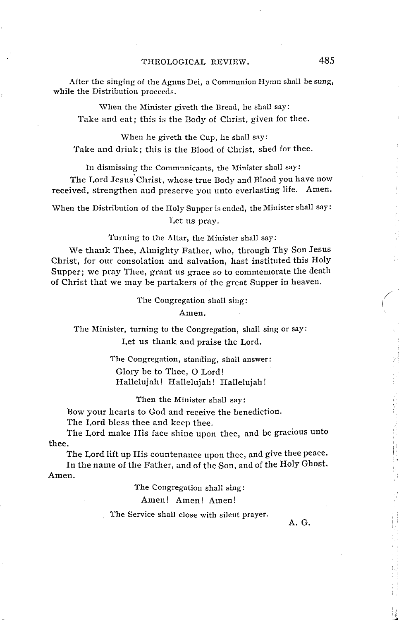After the singing of the Agnus Dei, a Communion Hymn shall be sung, while the Distribution proceeds.

When the Minister giveth the Bread, he shall say: Take and eat; this is the Body of Christ, given for thee.

\Vhen he giveth the Cup, he shall say: Take and drink; this is the Blood of Christ, shed for thee.

In dismissing the Communicants, the Minister shall say:

The Lord Jesus Christ, whose true Body and Blood you have now received, strengthen and preserve you unto everlasting life. Amen.

When the Distribution of the Holy Supper is ended, the Minister shall say: Let us pray.

Turning to the Altar, the Minister shall say:

We thank Thee, Almighty Father, who, through Thy Son Jesus Christ, for our consolation and salvation, hast instituted this Holy Supper; we pray Thee, grant us grace so to commemorate the death of Christ that we may be partakers of the great Supper in heaven.

The Congregation shall sing:

Amen.

The Minister, turning to the Congregation, shall sing or say: Let us thank and praise the Lord.

> The Congregation, standing, shall answer: Glory be to Thee, 0 Lord! Hallelujah! Hallelujah! Hallelujah!

> > Then the Minister shall say:

Bow your hearts to God and receive the benediction.

The Lord bless thee and keep thee.

The Lord make His face shine upon thee, and be gracious unto thee.

The Lord lift up His countenance upon thee, and give thee peace. In the name of the Father, and of the Son, and of the Holy Ghost.

Amen.

The Congregation shall sing:

Amen! Amen! Amen!

'fhe Service shall close with silent prayer.

A.G.

/ I

> $\mathop{!}\nolimits$  , 11: